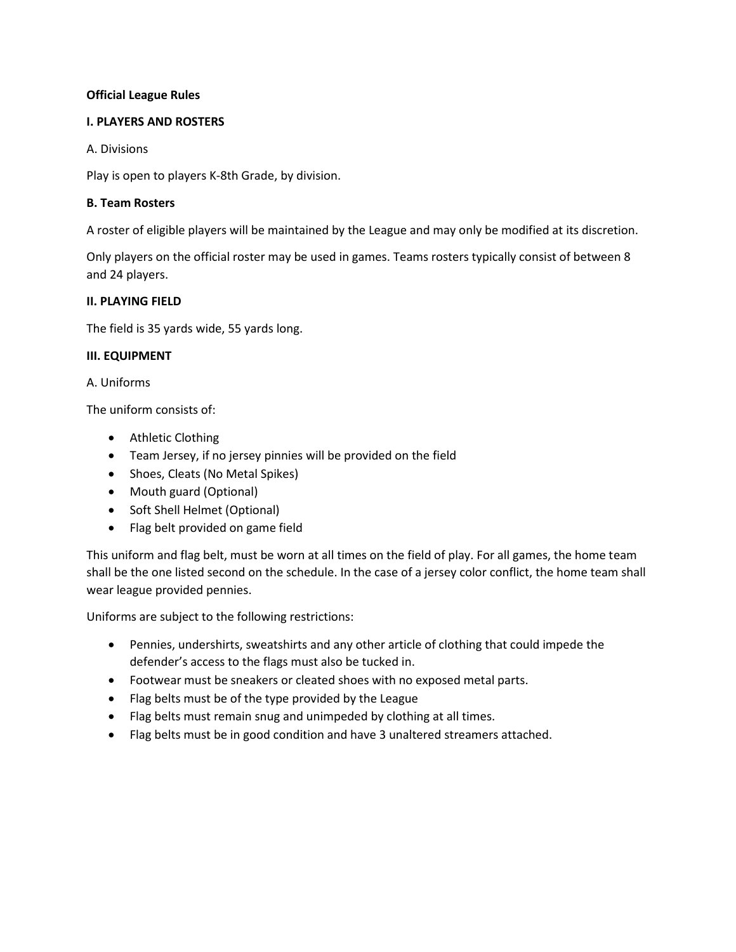# **Official League Rules**

#### **I. PLAYERS AND ROSTERS**

#### A. Divisions

Play is open to players K-8th Grade, by division.

#### **B. Team Rosters**

A roster of eligible players will be maintained by the League and may only be modified at its discretion.

Only players on the official roster may be used in games. Teams rosters typically consist of between 8 and 24 players.

#### **II. PLAYING FIELD**

The field is 35 yards wide, 55 yards long.

#### **III. EQUIPMENT**

A. Uniforms

The uniform consists of:

- Athletic Clothing
- Team Jersey, if no jersey pinnies will be provided on the field
- Shoes, Cleats (No Metal Spikes)
- Mouth guard (Optional)
- Soft Shell Helmet (Optional)
- Flag belt provided on game field

This uniform and flag belt, must be worn at all times on the field of play. For all games, the home team shall be the one listed second on the schedule. In the case of a jersey color conflict, the home team shall wear league provided pennies.

Uniforms are subject to the following restrictions:

- Pennies, undershirts, sweatshirts and any other article of clothing that could impede the defender's access to the flags must also be tucked in.
- Footwear must be sneakers or cleated shoes with no exposed metal parts.
- Flag belts must be of the type provided by the League
- Flag belts must remain snug and unimpeded by clothing at all times.
- Flag belts must be in good condition and have 3 unaltered streamers attached.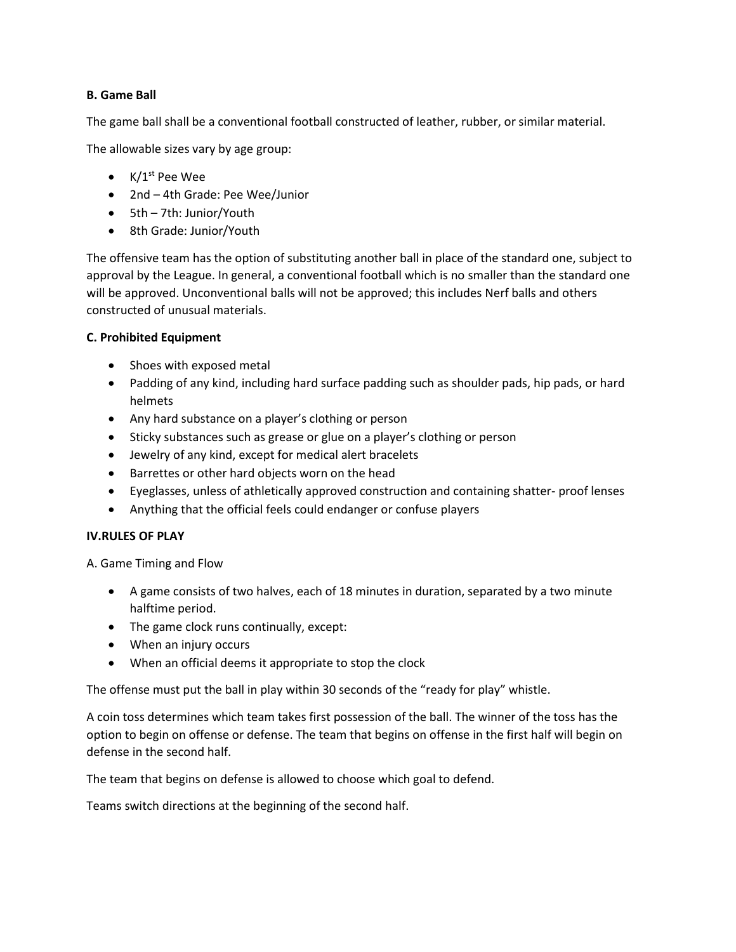# **B. Game Ball**

The game ball shall be a conventional football constructed of leather, rubber, or similar material.

The allowable sizes vary by age group:

- $K/1^{st}$  Pee Wee
- 2nd 4th Grade: Pee Wee/Junior
- 5th 7th: Junior/Youth
- 8th Grade: Junior/Youth

The offensive team has the option of substituting another ball in place of the standard one, subject to approval by the League. In general, a conventional football which is no smaller than the standard one will be approved. Unconventional balls will not be approved; this includes Nerf balls and others constructed of unusual materials.

# **C. Prohibited Equipment**

- Shoes with exposed metal
- Padding of any kind, including hard surface padding such as shoulder pads, hip pads, or hard helmets
- Any hard substance on a player's clothing or person
- Sticky substances such as grease or glue on a player's clothing or person
- Jewelry of any kind, except for medical alert bracelets
- Barrettes or other hard objects worn on the head
- Eyeglasses, unless of athletically approved construction and containing shatter- proof lenses
- Anything that the official feels could endanger or confuse players

# **IV.RULES OF PLAY**

A. Game Timing and Flow

- A game consists of two halves, each of 18 minutes in duration, separated by a two minute halftime period.
- The game clock runs continually, except:
- When an injury occurs
- When an official deems it appropriate to stop the clock

The offense must put the ball in play within 30 seconds of the "ready for play" whistle.

A coin toss determines which team takes first possession of the ball. The winner of the toss has the option to begin on offense or defense. The team that begins on offense in the first half will begin on defense in the second half.

The team that begins on defense is allowed to choose which goal to defend.

Teams switch directions at the beginning of the second half.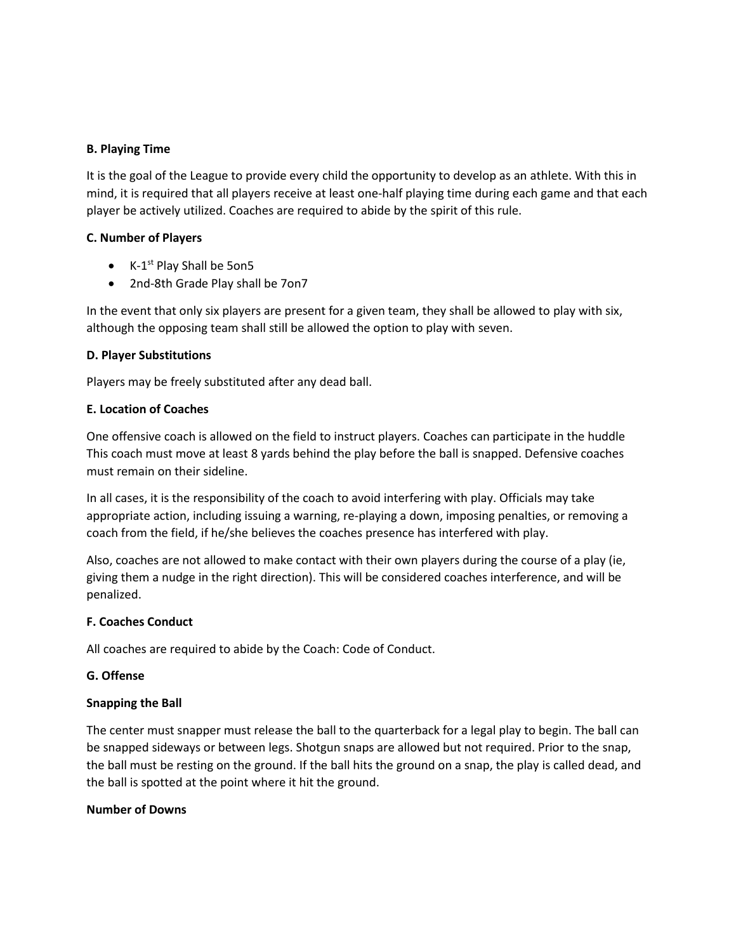# **B. Playing Time**

It is the goal of the League to provide every child the opportunity to develop as an athlete. With this in mind, it is required that all players receive at least one-half playing time during each game and that each player be actively utilized. Coaches are required to abide by the spirit of this rule.

# **C. Number of Players**

- K-1<sup>st</sup> Play Shall be 5on5
- 2nd-8th Grade Play shall be 7on7

In the event that only six players are present for a given team, they shall be allowed to play with six, although the opposing team shall still be allowed the option to play with seven.

# **D. Player Substitutions**

Players may be freely substituted after any dead ball.

# **E. Location of Coaches**

One offensive coach is allowed on the field to instruct players. Coaches can participate in the huddle This coach must move at least 8 yards behind the play before the ball is snapped. Defensive coaches must remain on their sideline.

In all cases, it is the responsibility of the coach to avoid interfering with play. Officials may take appropriate action, including issuing a warning, re-playing a down, imposing penalties, or removing a coach from the field, if he/she believes the coaches presence has interfered with play.

Also, coaches are not allowed to make contact with their own players during the course of a play (ie, giving them a nudge in the right direction). This will be considered coaches interference, and will be penalized.

# **F. Coaches Conduct**

All coaches are required to abide by the Coach: Code of Conduct.

# **G. Offense**

# **Snapping the Ball**

The center must snapper must release the ball to the quarterback for a legal play to begin. The ball can be snapped sideways or between legs. Shotgun snaps are allowed but not required. Prior to the snap, the ball must be resting on the ground. If the ball hits the ground on a snap, the play is called dead, and the ball is spotted at the point where it hit the ground.

# **Number of Downs**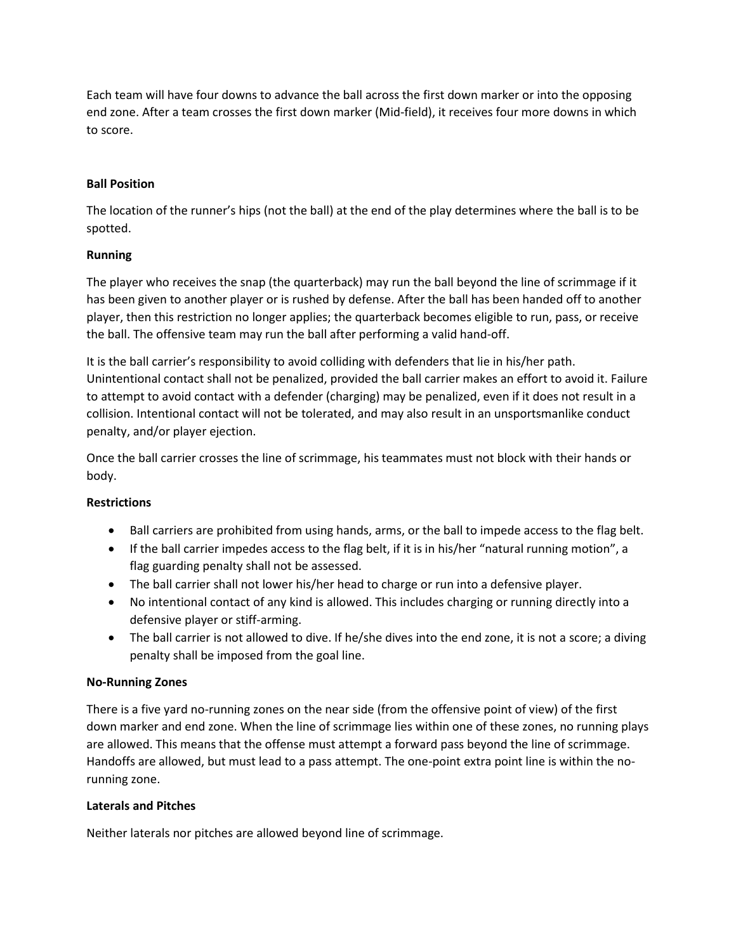Each team will have four downs to advance the ball across the first down marker or into the opposing end zone. After a team crosses the first down marker (Mid-field), it receives four more downs in which to score.

# **Ball Position**

The location of the runner's hips (not the ball) at the end of the play determines where the ball is to be spotted.

# **Running**

The player who receives the snap (the quarterback) may run the ball beyond the line of scrimmage if it has been given to another player or is rushed by defense. After the ball has been handed off to another player, then this restriction no longer applies; the quarterback becomes eligible to run, pass, or receive the ball. The offensive team may run the ball after performing a valid hand-off.

It is the ball carrier's responsibility to avoid colliding with defenders that lie in his/her path. Unintentional contact shall not be penalized, provided the ball carrier makes an effort to avoid it. Failure to attempt to avoid contact with a defender (charging) may be penalized, even if it does not result in a collision. Intentional contact will not be tolerated, and may also result in an unsportsmanlike conduct penalty, and/or player ejection.

Once the ball carrier crosses the line of scrimmage, his teammates must not block with their hands or body.

# **Restrictions**

- Ball carriers are prohibited from using hands, arms, or the ball to impede access to the flag belt.
- If the ball carrier impedes access to the flag belt, if it is in his/her "natural running motion", a flag guarding penalty shall not be assessed.
- The ball carrier shall not lower his/her head to charge or run into a defensive player.
- No intentional contact of any kind is allowed. This includes charging or running directly into a defensive player or stiff-arming.
- The ball carrier is not allowed to dive. If he/she dives into the end zone, it is not a score; a diving penalty shall be imposed from the goal line.

# **No-Running Zones**

There is a five yard no-running zones on the near side (from the offensive point of view) of the first down marker and end zone. When the line of scrimmage lies within one of these zones, no running plays are allowed. This means that the offense must attempt a forward pass beyond the line of scrimmage. Handoffs are allowed, but must lead to a pass attempt. The one-point extra point line is within the norunning zone.

# **Laterals and Pitches**

Neither laterals nor pitches are allowed beyond line of scrimmage.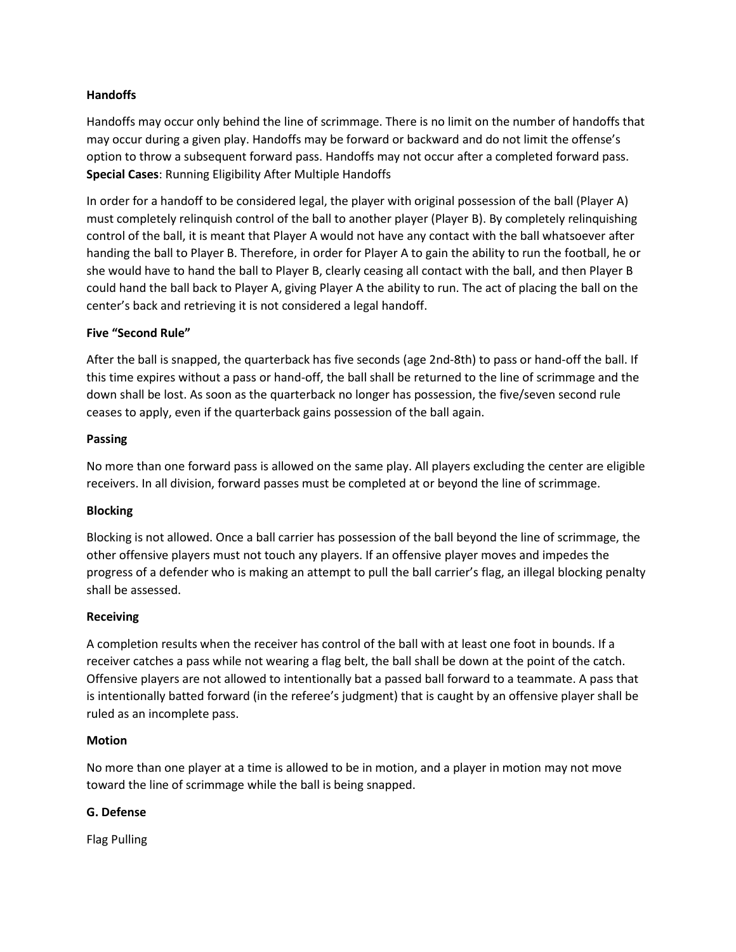# **Handoffs**

Handoffs may occur only behind the line of scrimmage. There is no limit on the number of handoffs that may occur during a given play. Handoffs may be forward or backward and do not limit the offense's option to throw a subsequent forward pass. Handoffs may not occur after a completed forward pass. **Special Cases**: Running Eligibility After Multiple Handoffs

In order for a handoff to be considered legal, the player with original possession of the ball (Player A) must completely relinquish control of the ball to another player (Player B). By completely relinquishing control of the ball, it is meant that Player A would not have any contact with the ball whatsoever after handing the ball to Player B. Therefore, in order for Player A to gain the ability to run the football, he or she would have to hand the ball to Player B, clearly ceasing all contact with the ball, and then Player B could hand the ball back to Player A, giving Player A the ability to run. The act of placing the ball on the center's back and retrieving it is not considered a legal handoff.

# **Five "Second Rule"**

After the ball is snapped, the quarterback has five seconds (age 2nd-8th) to pass or hand-off the ball. If this time expires without a pass or hand-off, the ball shall be returned to the line of scrimmage and the down shall be lost. As soon as the quarterback no longer has possession, the five/seven second rule ceases to apply, even if the quarterback gains possession of the ball again.

#### **Passing**

No more than one forward pass is allowed on the same play. All players excluding the center are eligible receivers. In all division, forward passes must be completed at or beyond the line of scrimmage.

# **Blocking**

Blocking is not allowed. Once a ball carrier has possession of the ball beyond the line of scrimmage, the other offensive players must not touch any players. If an offensive player moves and impedes the progress of a defender who is making an attempt to pull the ball carrier's flag, an illegal blocking penalty shall be assessed.

# **Receiving**

A completion results when the receiver has control of the ball with at least one foot in bounds. If a receiver catches a pass while not wearing a flag belt, the ball shall be down at the point of the catch. Offensive players are not allowed to intentionally bat a passed ball forward to a teammate. A pass that is intentionally batted forward (in the referee's judgment) that is caught by an offensive player shall be ruled as an incomplete pass.

# **Motion**

No more than one player at a time is allowed to be in motion, and a player in motion may not move toward the line of scrimmage while the ball is being snapped.

# **G. Defense**

Flag Pulling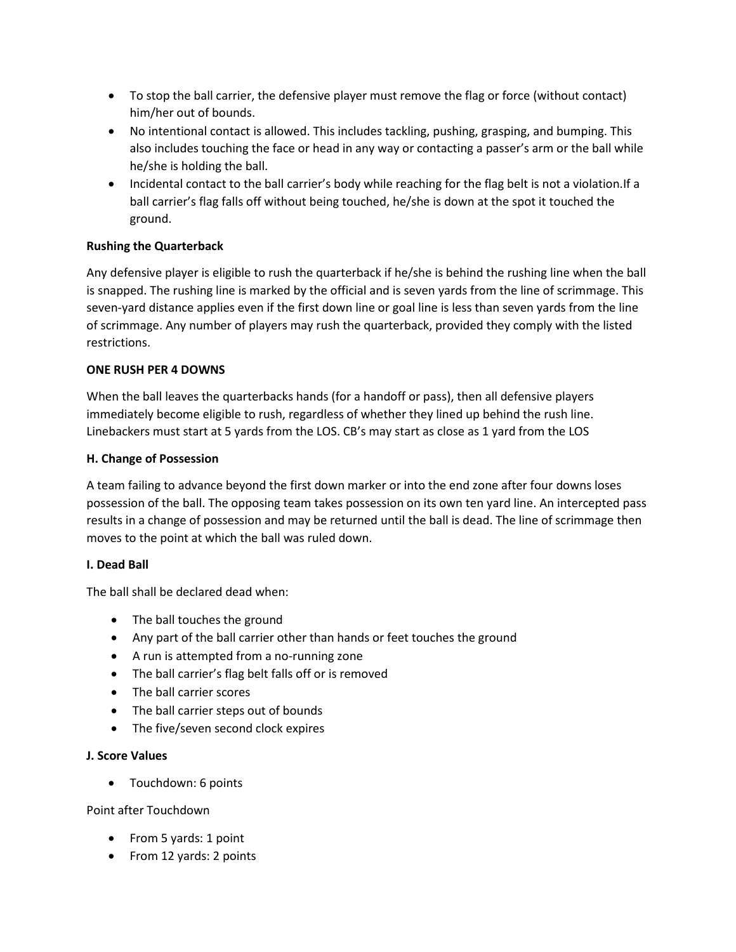- To stop the ball carrier, the defensive player must remove the flag or force (without contact) him/her out of bounds.
- No intentional contact is allowed. This includes tackling, pushing, grasping, and bumping. This also includes touching the face or head in any way or contacting a passer's arm or the ball while he/she is holding the ball.
- Incidental contact to the ball carrier's body while reaching for the flag belt is not a violation.If a ball carrier's flag falls off without being touched, he/she is down at the spot it touched the ground.

# **Rushing the Quarterback**

Any defensive player is eligible to rush the quarterback if he/she is behind the rushing line when the ball is snapped. The rushing line is marked by the official and is seven yards from the line of scrimmage. This seven-yard distance applies even if the first down line or goal line is less than seven yards from the line of scrimmage. Any number of players may rush the quarterback, provided they comply with the listed restrictions.

# **ONE RUSH PER 4 DOWNS**

When the ball leaves the quarterbacks hands (for a handoff or pass), then all defensive players immediately become eligible to rush, regardless of whether they lined up behind the rush line. Linebackers must start at 5 yards from the LOS. CB's may start as close as 1 yard from the LOS

# **H. Change of Possession**

A team failing to advance beyond the first down marker or into the end zone after four downs loses possession of the ball. The opposing team takes possession on its own ten yard line. An intercepted pass results in a change of possession and may be returned until the ball is dead. The line of scrimmage then moves to the point at which the ball was ruled down.

# **I. Dead Ball**

The ball shall be declared dead when:

- The ball touches the ground
- Any part of the ball carrier other than hands or feet touches the ground
- A run is attempted from a no-running zone
- The ball carrier's flag belt falls off or is removed
- The ball carrier scores
- The ball carrier steps out of bounds
- The five/seven second clock expires

# **J. Score Values**

• Touchdown: 6 points

Point after Touchdown

- From 5 yards: 1 point
- From 12 yards: 2 points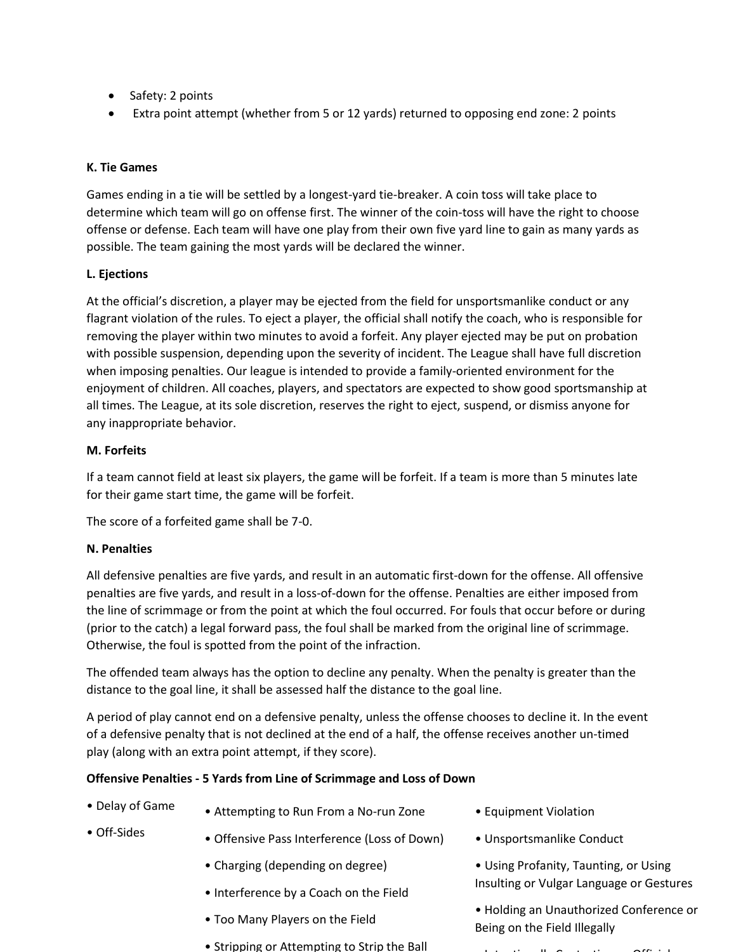- Safety: 2 points
- Extra point attempt (whether from 5 or 12 yards) returned to opposing end zone: 2 points

# **K. Tie Games**

Games ending in a tie will be settled by a longest-yard tie-breaker. A coin toss will take place to determine which team will go on offense first. The winner of the coin-toss will have the right to choose offense or defense. Each team will have one play from their own five yard line to gain as many yards as possible. The team gaining the most yards will be declared the winner.

# **L. Ejections**

At the official's discretion, a player may be ejected from the field for unsportsmanlike conduct or any flagrant violation of the rules. To eject a player, the official shall notify the coach, who is responsible for removing the player within two minutes to avoid a forfeit. Any player ejected may be put on probation with possible suspension, depending upon the severity of incident. The League shall have full discretion when imposing penalties. Our league is intended to provide a family-oriented environment for the enjoyment of children. All coaches, players, and spectators are expected to show good sportsmanship at all times. The League, at its sole discretion, reserves the right to eject, suspend, or dismiss anyone for any inappropriate behavior.

# **M. Forfeits**

If a team cannot field at least six players, the game will be forfeit. If a team is more than 5 minutes late for their game start time, the game will be forfeit.

The score of a forfeited game shall be 7-0.

# **N. Penalties**

All defensive penalties are five yards, and result in an automatic first-down for the offense. All offensive penalties are five yards, and result in a loss-of-down for the offense. Penalties are either imposed from the line of scrimmage or from the point at which the foul occurred. For fouls that occur before or during (prior to the catch) a legal forward pass, the foul shall be marked from the original line of scrimmage. Otherwise, the foul is spotted from the point of the infraction.

The offended team always has the option to decline any penalty. When the penalty is greater than the distance to the goal line, it shall be assessed half the distance to the goal line.

A period of play cannot end on a defensive penalty, unless the offense chooses to decline it. In the event of a defensive penalty that is not declined at the end of a half, the offense receives another un-timed play (along with an extra point attempt, if they score).

# **Offensive Penalties - 5 Yards from Line of Scrimmage and Loss of Down**

- Delay of Game • Attempting to Run From a No-run Zone
- Off-Sides
	- Offensive Pass Interference (Loss of Down)
		- Charging (depending on degree)
		- Interference by a Coach on the Field
	- Too Many Players on the Field
	- Stripping or Attempting to Strip the Ball
- Equipment Violation
- Unsportsmanlike Conduct
- Using Profanity, Taunting, or Using Insulting or Vulgar Language or Gestures
- Holding an Unauthorized Conference or Being on the Field Illegally
- Intentionally Contacting an Official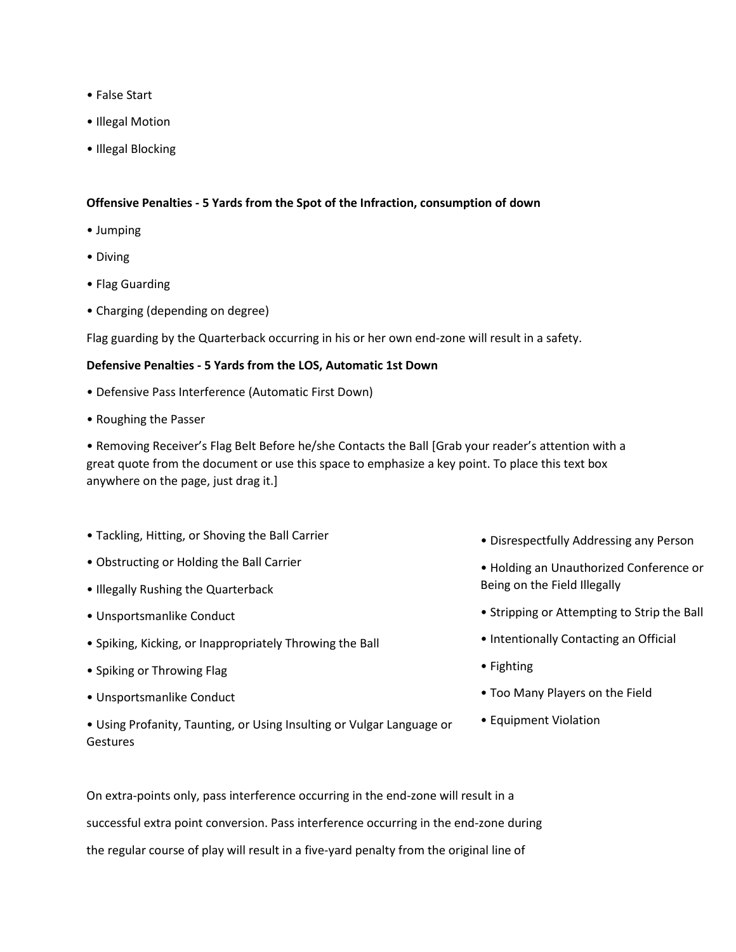- False Start
- Illegal Motion
- Illegal Blocking

#### **Offensive Penalties - 5 Yards from the Spot of the Infraction, consumption of down**

- Jumping
- Diving
- Flag Guarding
- Charging (depending on degree)

Flag guarding by the Quarterback occurring in his or her own end-zone will result in a safety.

#### **Defensive Penalties - 5 Yards from the LOS, Automatic 1st Down**

- Defensive Pass Interference (Automatic First Down)
- Roughing the Passer

• Removing Receiver's Flag Belt Before he/she Contacts the Ball [Grab your reader's attention with a great quote from the document or use this space to emphasize a key point. To place this text box anywhere on the page, just drag it.]

- Tackling, Hitting, or Shoving the Ball Carrier
- Obstructing or Holding the Ball Carrier
- Illegally Rushing the Quarterback
- Unsportsmanlike Conduct
- Spiking, Kicking, or Inappropriately Throwing the Ball
- Spiking or Throwing Flag
- Unsportsmanlike Conduct
- Using Profanity, Taunting, or Using Insulting or Vulgar Language or **Gestures**
- Disrespectfully Addressing any Person
- Holding an Unauthorized Conference or Being on the Field Illegally
- Stripping or Attempting to Strip the Ball
- Intentionally Contacting an Official
- Fighting
- Too Many Players on the Field
- Equipment Violation

On extra-points only, pass interference occurring in the end-zone will result in a successful extra point conversion. Pass interference occurring in the end-zone during the regular course of play will result in a five-yard penalty from the original line of